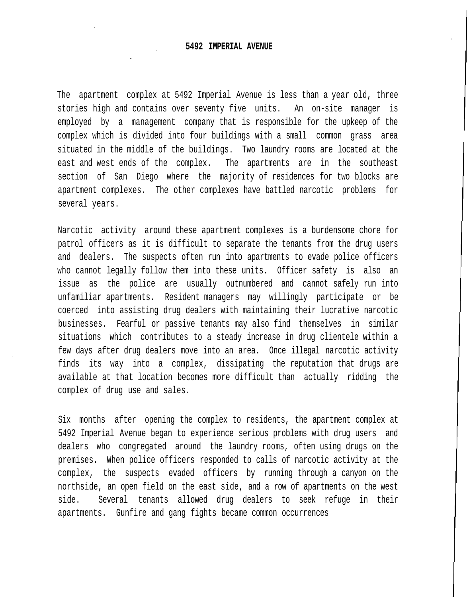The apartment complex at 5492 Imperial Avenue is less than a year old, three stories high and contains over seventy five units. An on-site manager is employed by a management company that is responsible for the upkeep of the complex which is divided into four buildings with a small common grass area situated in the middle of the buildings. Two laundry rooms are located at the east and west ends of the complex. The apartments are in the southeast section of San Diego where the majority of residences for two blocks are apartment complexes. The other complexes have battled narcotic problems for several years.

Narcotic activity around these apartment complexes is a burdensome chore for patrol officers as it is difficult to separate the tenants from the drug users and dealers. The suspects often run into apartments to evade police officers who cannot legally follow them into these units. Officer safety is also an issue as the police are usually outnumbered and cannot safely run into unfamiliar apartments. Resident managers may willingly participate or be coerced into assisting drug dealers with maintaining their lucrative narcotic businesses. Fearful or passive tenants may also find themselves in similar situations which contributes to a steady increase in drug clientele within a few days after drug dealers move into an area. Once illegal narcotic activity finds its way into a complex, dissipating the reputation that drugs are available at that location becomes more difficult than actually ridding the complex of drug use and sales.

Six months after opening the complex to residents, the apartment complex at 5492 Imperial Avenue began to experience serious problems with drug users and dealers who congregated around the laundry rooms, often using drugs on the premises. When police officers responded to calls of narcotic activity at the complex, the suspects evaded officers by running through a canyon on the northside, an open field on the east side, and a row of apartments on the west side. Several tenants allowed drug dealers to seek refuge in their apartments. Gunfire and gang fights became common occurrences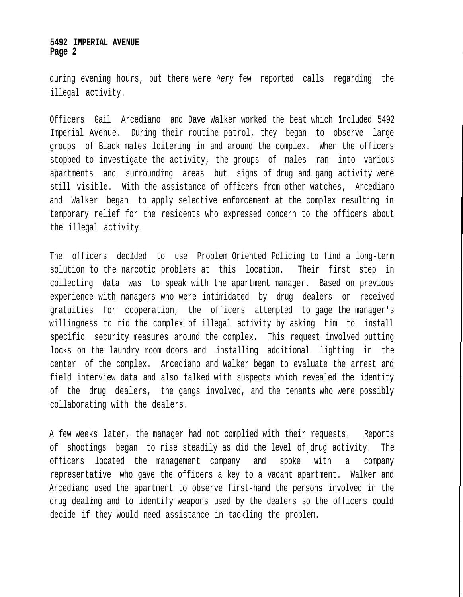## **5492 IMPERIAL AVENUE Page 2**

during evening hours, but there were ^ery few reported calls regarding the illegal activity.

Officers Gail Arcediano and Dave Walker worked the beat which included 5492 Imperial Avenue. During their routine patrol, they began to observe large groups of Black males loitering in and around the complex. When the officers stopped to investigate the activity, the groups of males ran into various apartments and surrounding areas but signs of drug and gang activity were still visible. With the assistance of officers from other watches, Arcediano and Walker began to apply selective enforcement at the complex resulting in temporary relief for the residents who expressed concern to the officers about the illegal activity.

The officers decided to use Problem Oriented Policing to find a long-term solution to the narcotic problems at this location. Their first step in collecting data was to speak with the apartment manager. Based on previous experience with managers who were intimidated by drug dealers or received gratuities for cooperation, the officers attempted to gage the manager's willingness to rid the complex of illegal activity by asking him to install specific security measures around the complex. This request involved putting locks on the laundry room doors and installing additional lighting in the center of the complex. Arcediano and Walker began to evaluate the arrest and field interview data and also talked with suspects which revealed the identity of the drug dealers, the gangs involved, and the tenants who were possibly collaborating with the dealers.

A few weeks later, the manager had not complied with their requests. Reports of shootings began to rise steadily as did the level of drug activity. The officers located the management company and spoke with a company representative who gave the officers a key to a vacant apartment. Walker and Arcediano used the apartment to observe first-hand the persons involved in the drug dealing and to identify weapons used by the dealers so the officers could decide if they would need assistance in tackling the problem.